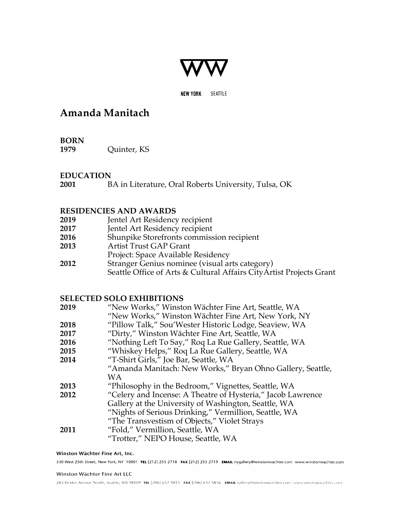

**NEW YORK** SEATTLE

# **Amanda Manitach**

**BORN 1979** Quinter, KS

# **EDUCATION**

**2001** BA in Literature, Oral Roberts University, Tulsa, OK

# **RESIDENCIES AND AWARDS**

| 2019 |  |  |  | Jentel Art Residency recipient |  |
|------|--|--|--|--------------------------------|--|
|      |  |  |  |                                |  |

- **2017** Jentel Art Residency recipient
- **2016** Shunpike Storefronts commission recipient
- **2013** Artist Trust GAP Grant
- Project: Space Available Residency
- **2012** Stranger Genius nominee (visual arts category) Seattle Office of Arts & Cultural Affairs CityArtist Projects Grant

# **SELECTED SOLO EXHIBITIONS**

| 2019 | "New Works," Winston Wächter Fine Art, Seattle, WA          |
|------|-------------------------------------------------------------|
|      | "New Works," Winston Wächter Fine Art, New York, NY         |
| 2018 | "Pillow Talk," Sou'Wester Historic Lodge, Seaview, WA       |
| 2017 | "Dirty," Winston Wächter Fine Art, Seattle, WA              |
| 2016 | "Nothing Left To Say," Roq La Rue Gallery, Seattle, WA      |
| 2015 | "Whiskey Helps," Roq La Rue Gallery, Seattle, WA            |
| 2014 | "T-Shirt Girls," Joe Bar, Seattle, WA                       |
|      | "Amanda Manitach: New Works," Bryan Ohno Gallery, Seattle,  |
|      | WA.                                                         |
| 2013 | "Philosophy in the Bedroom," Vignettes, Seattle, WA         |
| 2012 | "Celery and Incense: A Theatre of Hysteria," Jacob Lawrence |
|      | Gallery at the University of Washington, Seattle, WA        |
|      | "Nights of Serious Drinking," Vermillion, Seattle, WA       |
|      | "The Transvestism of Objects," Violet Strays                |
| 2011 | "Fold," Vermillion, Seattle, WA                             |
|      | "Trotter," NEPO House, Seattle, WA                          |

### Winston Wächter Fine Art, Inc.

530 West 25th Street, New York, NY 10001 TEL [212] 255 2718 FAX [212] 255 2719 EMAIL nygallery@winstonwachter.com www.winstonwachter.com

#### Winston Wächter Fine Art LLC

203 Dexter Avenue North, Seattle, WA 98109 TEL [206] 652 5855 FAX [206] 652 5856 EMAIL gallery@winstonwachter.com www.winstonwachter.com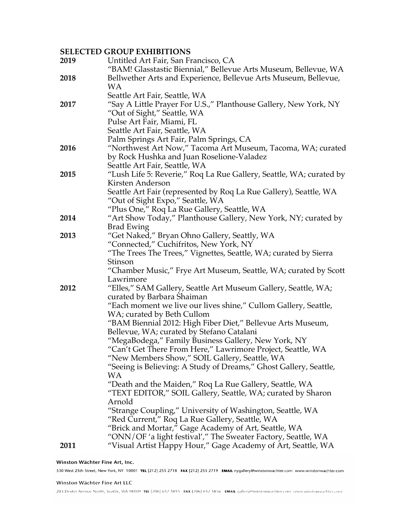# **SELECTED GROUP EXHIBITIONS**

| 2019 | Untitled Art Fair, San Francisco, CA<br>"BAM! Glasstastic Biennial," Bellevue Arts Museum, Bellevue, WA               |
|------|-----------------------------------------------------------------------------------------------------------------------|
| 2018 | Bellwether Arts and Experience, Bellevue Arts Museum, Bellevue,                                                       |
|      | <b>WA</b>                                                                                                             |
|      | Seattle Art Fair, Seattle, WA                                                                                         |
| 2017 | "Say A Little Prayer For U.S.," Planthouse Gallery, New York, NY                                                      |
|      | "Out of Sight," Seattle, WA                                                                                           |
|      | Pulse Art Fair, Miami, FL<br>Seattle Art Fair, Seattle, WA                                                            |
|      | Palm Springs Art Fair, Palm Springs, CA                                                                               |
| 2016 | "Northwest Art Now," Tacoma Art Museum, Tacoma, WA; curated                                                           |
|      | by Rock Hushka and Juan Roselione-Valadez                                                                             |
|      | Seattle Art Fair, Seattle, WA                                                                                         |
| 2015 | "Lush Life 5: Reverie," Roq La Rue Gallery, Seattle, WA; curated by                                                   |
|      | Kirsten Anderson                                                                                                      |
|      | Seattle Art Fair (represented by Roq La Rue Gallery), Seattle, WA                                                     |
|      | "Out of Sight Expo," Seattle, WA                                                                                      |
|      | "Plus One," Roq La Rue Gallery, Seattle, WA                                                                           |
| 2014 | "Art Show Today," Planthouse Gallery, New York, NY; curated by                                                        |
|      | <b>Brad Ewing</b><br>"Get Naked," Bryan Ohno Gallery, Seattly, WA                                                     |
| 2013 | "Connected," Cuchifritos, New York, NY                                                                                |
|      | "The Trees The Trees," Vignettes, Seattle, WA; curated by Sierra                                                      |
|      | Stinson                                                                                                               |
|      | "Chamber Music," Frye Art Museum, Seattle, WA; curated by Scott                                                       |
|      | Lawrimore                                                                                                             |
| 2012 | "Elles," SAM Gallery, Seattle Art Museum Gallery, Seattle, WA;                                                        |
|      | curated by Barbara Shaiman                                                                                            |
|      | "Each moment we live our lives shine," Cullom Gallery, Seattle,                                                       |
|      | WA; curated by Beth Cullom                                                                                            |
|      | "BAM Biennial 2012: High Fiber Diet," Bellevue Arts Museum,                                                           |
|      | Bellevue, WA; curated by Stefano Catalani<br>"MegaBodega," Family Business Gallery, New York, NY                      |
|      | "Can't Get There From Here," Lawrimore Project, Seattle, WA                                                           |
|      | "New Members Show," SOIL Gallery, Seattle, WA                                                                         |
|      | "Seeing is Believing: A Study of Dreams," Ghost Gallery, Seattle,                                                     |
|      | WA                                                                                                                    |
|      | "Death and the Maiden," Roq La Rue Gallery, Seattle, WA                                                               |
|      | "TEXT EDITOR," SOIL Gallery, Seattle, WA; curated by Sharon                                                           |
|      | Arnold                                                                                                                |
|      | "Strange Coupling," University of Washington, Seattle, WA                                                             |
|      | "Red Current," Roq La Rue Gallery, Seattle, WA                                                                        |
|      | "Brick and Mortar," Gage Academy of Art, Seattle, WA<br>"ONN/OF 'a light festival'," The Sweater Factory, Seattle, WA |
| 2011 | "Visual Artist Happy Hour," Gage Academy of Art, Seattle, WA                                                          |
|      |                                                                                                                       |

### Winston Wächter Fine Art, Inc.

530 West 25th Street, New York, NY 10001 TEL [212] 255 2718 FAX [212] 255 2719 EMAIL nygallery@winstonwachter.com www.winstonwachter.com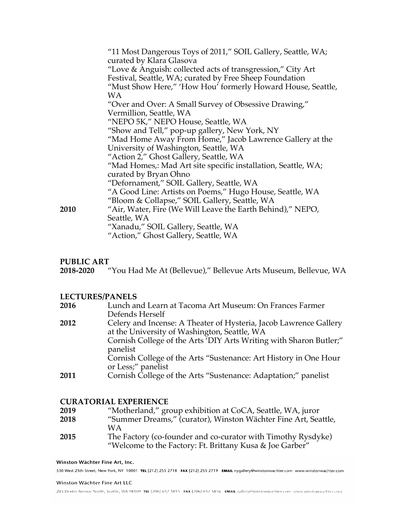|             | "11 Most Dangerous Toys of 2011," SOIL Gallery, Seattle, WA;<br>curated by Klara Glasova |
|-------------|------------------------------------------------------------------------------------------|
|             | "Love & Anguish: collected acts of transgression," City Art                              |
|             | Festival, Seattle, WA; curated by Free Sheep Foundation                                  |
|             | "Must Show Here," 'How Hou' formerly Howard House, Seattle,                              |
|             | WА                                                                                       |
|             | "Over and Over: A Small Survey of Obsessive Drawing,"                                    |
|             | Vermillion, Seattle, WA                                                                  |
|             | "NEPO 5K," NEPO House, Seattle, WA                                                       |
|             | "Show and Tell," pop-up gallery, New York, NY                                            |
|             | "Mad Home Away From Home," Jacob Lawrence Gallery at the                                 |
|             | University of Washington, Seattle, WA                                                    |
|             | "Action 2," Ghost Gallery, Seattle, WA                                                   |
|             | "Mad Homes,: Mad Art site specific installation, Seattle, WA;                            |
|             | curated by Bryan Ohno                                                                    |
|             | "Defornament," SOIL Gallery, Seattle, WA                                                 |
|             | "A Good Line: Artists on Poems," Hugo House, Seattle, WA                                 |
|             | "Bloom & Collapse," SOIL Gallery, Seattle, WA                                            |
| <b>2010</b> | "Air, Water, Fire (We Will Leave the Earth Behind)," NEPO,                               |
|             | Seattle, WA                                                                              |
|             | "Xanadu," SOIL Gallery, Seattle, WA                                                      |
|             | "Action," Ghost Gallery, Seattle, WA                                                     |

# **PUBLIC ART**

**2018-2020** "You Had Me At (Bellevue)," Bellevue Arts Museum, Bellevue, WA

# **LECTURES/PANELS**

| 2016 | Lunch and Learn at Tacoma Art Museum: On Frances Farmer            |
|------|--------------------------------------------------------------------|
|      | Defends Herself                                                    |
| 2012 | Celery and Incense: A Theater of Hysteria, Jacob Lawrence Gallery  |
|      | at the University of Washington, Seattle, WA                       |
|      | Cornish College of the Arts 'DIY Arts Writing with Sharon Butler;" |
|      | panelist                                                           |
|      | Cornish College of the Arts "Sustenance: Art History in One Hour   |
|      | or Less;" panelist                                                 |
| 2011 | Cornish College of the Arts "Sustenance: Adaptation;" panelist     |

# **CURATORIAL EXPERIENCE**

| 2019 | "Motherland," group exhibition at CoCA, Seattle, WA, juror     |
|------|----------------------------------------------------------------|
| 2018 | "Summer Dreams," (curator), Winston Wächter Fine Art, Seattle, |
|      | W A                                                            |
| 2015 | The Factory (co-founder and co-curator with Timothy Rysdyke)   |
|      | "Welcome to the Factory: Ft. Brittany Kusa & Joe Garber"       |

#### Winston Wächter Fine Art, Inc.

530 West 25th Street, New York, NY 10001 TEL [212] 255 2718 FAX [212] 255 2719 EMAIL nygallery@winstonwachter.com www.winstonwachter.com

203 Dexter Avenue North, Seattle, WA 98109 TEL [206] 652 5855 FAX [206] 652 5856 EMAIL gallery@winstonwachter.com www.winstonwachter.com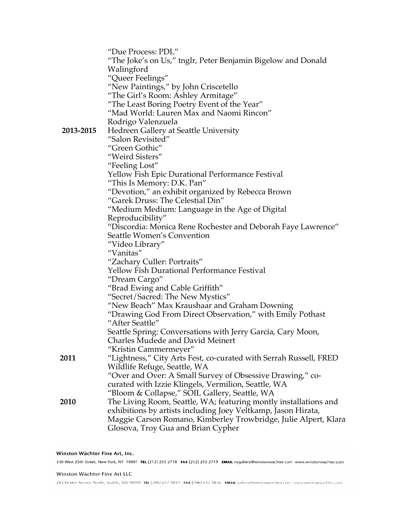|           | "Due Process: PDL"                                                |
|-----------|-------------------------------------------------------------------|
|           | "The Joke's on Us," tnglr, Peter Benjamin Bigelow and Donald      |
|           | Walingford                                                        |
|           | "Queer Feelings"                                                  |
|           | "New Paintings," by John Criscetello                              |
|           | "The Girl's Room: Ashley Armitage"                                |
|           | "The Least Boring Poetry Event of the Year"                       |
|           | "Mad World: Lauren Max and Naomi Rincon"                          |
|           | Rodrigo Valenzuela                                                |
| 2013-2015 |                                                                   |
|           | <b>Hedreen Gallery at Seattle University</b>                      |
|           | "Salon Revisited"                                                 |
|           | "Green Gothic"                                                    |
|           | "Weird Sisters"                                                   |
|           | "Feeling Lost"                                                    |
|           | Yellow Fish Epic Durational Performance Festival                  |
|           | "This Is Memory: D.K. Pan"                                        |
|           | "Devotion," an exhibit organized by Rebecca Brown                 |
|           | "Garek Druss: The Celestial Din"                                  |
|           | "Medium Medium: Language in the Age of Digital                    |
|           | Reproducibility"                                                  |
|           | "Discordia: Monica Rene Rochester and Deborah Faye Lawrence"      |
|           | Seattle Women's Convention                                        |
|           | "Video Library"                                                   |
|           | "Vanitas"                                                         |
|           | "Zachary Culler: Portraits"                                       |
|           | Yellow Fish Durational Performance Festival                       |
|           | "Dream Cargo"                                                     |
|           | "Brad Ewing and Cable Griffith"                                   |
|           | "Secret/Sacred: The New Mystics"                                  |
|           | "New Beach" Max Kraushaar and Graham Downing                      |
|           | "Drawing God From Direct Observation," with Emily Pothast         |
|           | "After Seattle"                                                   |
|           | Seattle Spring: Conversations with Jerry Garcia, Cary Moon,       |
|           | Charles Mudede and David Meinert                                  |
|           | "Kristin Cammermeyer"                                             |
| 2011      | "Lightness," City Arts Fest, co-curated with Serrah Russell, FRED |
|           | Wildlife Refuge, Seattle, WA                                      |
|           | "Over and Over: A Small Survey of Obsessive Drawing," co-         |
|           | curated with Izzie Klingels, Vermilion, Seattle, WA               |
|           |                                                                   |
| 2010      | "Bloom & Collapse," SOIL Gallery, Seattle, WA                     |
|           | The Living Room, Seattle, WA; featuring montly installations and  |
|           | exhibitions by artists including Joey Veltkamp, Jason Hirata,     |
|           | Maggie Carson Romano, Kimberley Trowbridge, Julie Alpert, Klara   |
|           | Glosova, Troy Gua and Brian Cypher                                |

203 Dexter Avenue North, Seattle, WA 98109. TEL [206] 652 5855. FAX [206] 652 5856. EMAIL gallery@winstonwachter.com www.winstonwachter.com

Winston Wächter Fine Art, Inc. 530 West 25th Street, New York, NY 10001 TEL [212] 255 2718 FAX [212] 255 2719 EMAIL nygallery@winstonwachter.com www.winstonwachter.com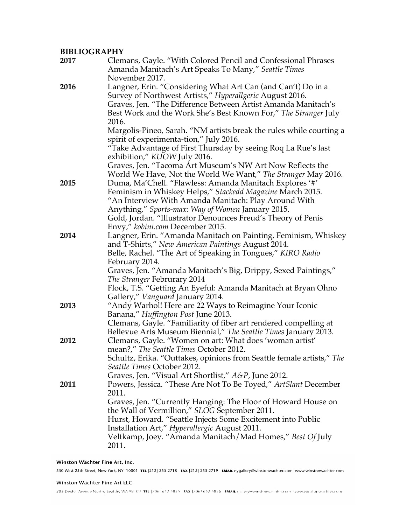# **BIBLIOGRAPHY**

| 2017 | Clemans, Gayle. "With Colored Pencil and Confessional Phrases<br>Amanda Manitach's Art Speaks To Many," Seattle Times<br>November 2017.                                                                                                                                                                                                                                 |
|------|-------------------------------------------------------------------------------------------------------------------------------------------------------------------------------------------------------------------------------------------------------------------------------------------------------------------------------------------------------------------------|
| 2016 | Langner, Erin. "Considering What Art Can (and Can't) Do in a<br>Survey of Northwest Artists," Hyperallgeric August 2016.<br>Graves, Jen. "The Difference Between Artist Amanda Manitach's<br>Best Work and the Work She's Best Known For," The Stranger July<br>2016.                                                                                                   |
|      | Margolis-Pineo, Sarah. "NM artists break the rules while courting a<br>spirit of experimenta-tion," July 2016.<br>"Take Advantage of First Thursday by seeing Roq La Rue's last<br>exhibition," KUOW July 2016.                                                                                                                                                         |
|      | Graves, Jen. "Tacoma Art Museum's NW Art Now Reflects the<br>World We Have, Not the World We Want," The Stranger May 2016.                                                                                                                                                                                                                                              |
| 2015 | Duma, Ma'Chell. "Flawless: Amanda Manitach Explores '#'<br>Feminism in Whiskey Helps," Stackedd Magazine March 2015.<br>"An Interview With Amanda Manitach: Play Around With<br>Anything," Sports-max: Way of Women January 2015.                                                                                                                                       |
|      | Gold, Jordan. "Illustrator Denounces Freud's Theory of Penis<br>Envy," kobini.com December 2015.                                                                                                                                                                                                                                                                        |
| 2014 | Langner, Erin. "Amanda Manitach on Painting, Feminism, Whiskey<br>and T-Shirts," New American Paintings August 2014.                                                                                                                                                                                                                                                    |
|      | Belle, Rachel. "The Art of Speaking in Tongues," KIRO Radio<br>February 2014.<br>Graves, Jen. "Amanda Manitach's Big, Drippy, Sexed Paintings,"<br>The Stranger Februrary 2014<br>Flock, T.S. "Getting An Eyeful: Amanda Manitach at Bryan Ohno<br>Gallery," Vanguard January 2014.                                                                                     |
| 2013 | "Andy Warhol! Here are 22 Ways to Reimagine Your Iconic<br>Banana," Huffington Post June 2013.<br>Clemans, Gayle. "Familiarity of fiber art rendered compelling at<br>Bellevue Arts Museum Biennial," The Seattle Times January 2013.                                                                                                                                   |
| 2012 | Clemans, Gayle. "Women on art: What does 'woman artist'<br>mean?," The Seattle Times October 2012.<br>Schultz, Erika. "Outtakes, opinions from Seattle female artists," The<br>Seattle Times October 2012.<br>Graves, Jen. "Visual Art Shortlist," A&P, June 2012.                                                                                                      |
| 2011 | Powers, Jessica. "These Are Not To Be Toyed," ArtSlant December<br>2011.<br>Graves, Jen. "Currently Hanging: The Floor of Howard House on<br>the Wall of Vermillion," SLOG September 2011.<br>Hurst, Howard. "Seattle Injects Some Excitement into Public<br>Installation Art," Hyperallergic August 2011.<br>Veltkamp, Joey. "Amanda Manitach/Mad Homes," Best Of July |
|      | 2011.                                                                                                                                                                                                                                                                                                                                                                   |

### Winston Wächter Fine Art, Inc.

530 West 25th Street, New York, NY 10001 TEL [212] 255 2718 FAX [212] 255 2719 EMAIL nygallery@winstonwachter.com www.winstonwachter.com